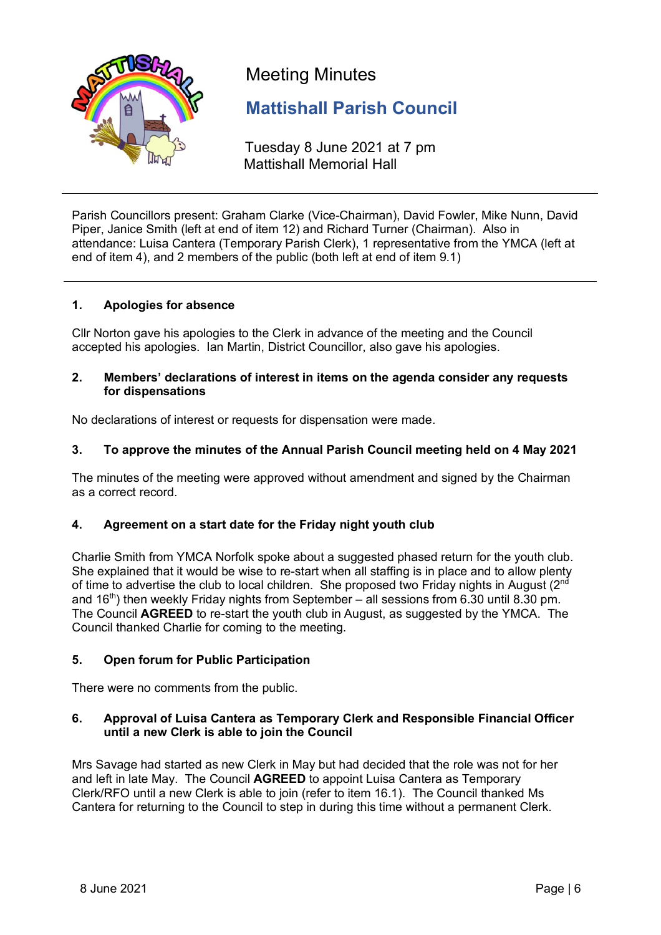

Meeting Minutes

# **Mattishall Parish Council**

Tuesday 8 June 2021 at 7 pm Mattishall Memorial Hall

Parish Councillors present: Graham Clarke (Vice-Chairman), David Fowler, Mike Nunn, David Piper, Janice Smith (left at end of item 12) and Richard Turner (Chairman). Also in attendance: Luisa Cantera (Temporary Parish Clerk), 1 representative from the YMCA (left at end of item 4), and 2 members of the public (both left at end of item 9.1)

# **1. Apologies for absence**

Cllr Norton gave his apologies to the Clerk in advance of the meeting and the Council accepted his apologies. Ian Martin, District Councillor, also gave his apologies.

#### **2. Members' declarations of interest in items on the agenda consider any requests for dispensations**

No declarations of interest or requests for dispensation were made.

# **3. To approve the minutes of the Annual Parish Council meeting held on 4 May 2021**

The minutes of the meeting were approved without amendment and signed by the Chairman as a correct record.

# **4. Agreement on a start date for the Friday night youth club**

Charlie Smith from YMCA Norfolk spoke about a suggested phased return for the youth club. She explained that it would be wise to re-start when all staffing is in place and to allow plenty of time to advertise the club to local children. She proposed two Friday nights in August  $(2^{nd}$ and  $16<sup>th</sup>$ ) then weekly Friday nights from September – all sessions from 6.30 until 8.30 pm. The Council **AGREED** to re-start the youth club in August, as suggested by the YMCA. The Council thanked Charlie for coming to the meeting.

# **5. Open forum for Public Participation**

There were no comments from the public.

## **6. Approval of Luisa Cantera as Temporary Clerk and Responsible Financial Officer until a new Clerk is able to join the Council**

Mrs Savage had started as new Clerk in May but had decided that the role was not for her and left in late May. The Council **AGREED** to appoint Luisa Cantera as Temporary Clerk/RFO until a new Clerk is able to join (refer to item 16.1). The Council thanked Ms Cantera for returning to the Council to step in during this time without a permanent Clerk.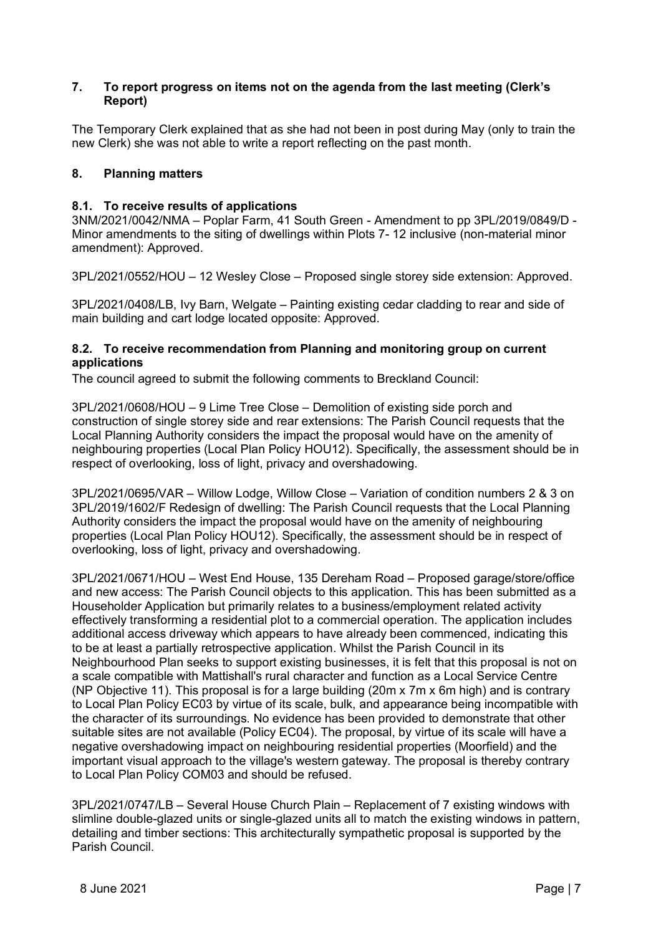#### **7. To report progress on items not on the agenda from the last meeting (Clerk's Report)**

The Temporary Clerk explained that as she had not been in post during May (only to train the new Clerk) she was not able to write a report reflecting on the past month.

# **8. Planning matters**

## **8.1. To receive results of applications**

3NM/2021/0042/NMA – Poplar Farm, 41 South Green - Amendment to pp 3PL/2019/0849/D - Minor amendments to the siting of dwellings within Plots 7- 12 inclusive (non-material minor amendment): Approved.

3PL/2021/0552/HOU – 12 Wesley Close – Proposed single storey side extension: Approved.

3PL/2021/0408/LB, Ivy Barn, Welgate – Painting existing cedar cladding to rear and side of main building and cart lodge located opposite: Approved.

## **8.2. To receive recommendation from Planning and monitoring group on current applications**

The council agreed to submit the following comments to Breckland Council:

3PL/2021/0608/HOU – 9 Lime Tree Close – Demolition of existing side porch and construction of single storey side and rear extensions: The Parish Council requests that the Local Planning Authority considers the impact the proposal would have on the amenity of neighbouring properties (Local Plan Policy HOU12). Specifically, the assessment should be in respect of overlooking, loss of light, privacy and overshadowing.

3PL/2021/0695/VAR – Willow Lodge, Willow Close – Variation of condition numbers 2 & 3 on 3PL/2019/1602/F Redesign of dwelling: The Parish Council requests that the Local Planning Authority considers the impact the proposal would have on the amenity of neighbouring properties (Local Plan Policy HOU12). Specifically, the assessment should be in respect of overlooking, loss of light, privacy and overshadowing.

3PL/2021/0671/HOU – West End House, 135 Dereham Road – Proposed garage/store/office and new access: The Parish Council objects to this application. This has been submitted as a Householder Application but primarily relates to a business/employment related activity effectively transforming a residential plot to a commercial operation. The application includes additional access driveway which appears to have already been commenced, indicating this to be at least a partially retrospective application. Whilst the Parish Council in its Neighbourhood Plan seeks to support existing businesses, it is felt that this proposal is not on a scale compatible with Mattishall's rural character and function as a Local Service Centre (NP Objective 11). This proposal is for a large building (20m x 7m x 6m high) and is contrary to Local Plan Policy EC03 by virtue of its scale, bulk, and appearance being incompatible with the character of its surroundings. No evidence has been provided to demonstrate that other suitable sites are not available (Policy EC04). The proposal, by virtue of its scale will have a negative overshadowing impact on neighbouring residential properties (Moorfield) and the important visual approach to the village's western gateway. The proposal is thereby contrary to Local Plan Policy COM03 and should be refused.

3PL/2021/0747/LB – Several House Church Plain – Replacement of 7 existing windows with slimline double-glazed units or single-glazed units all to match the existing windows in pattern, detailing and timber sections: This architecturally sympathetic proposal is supported by the Parish Council.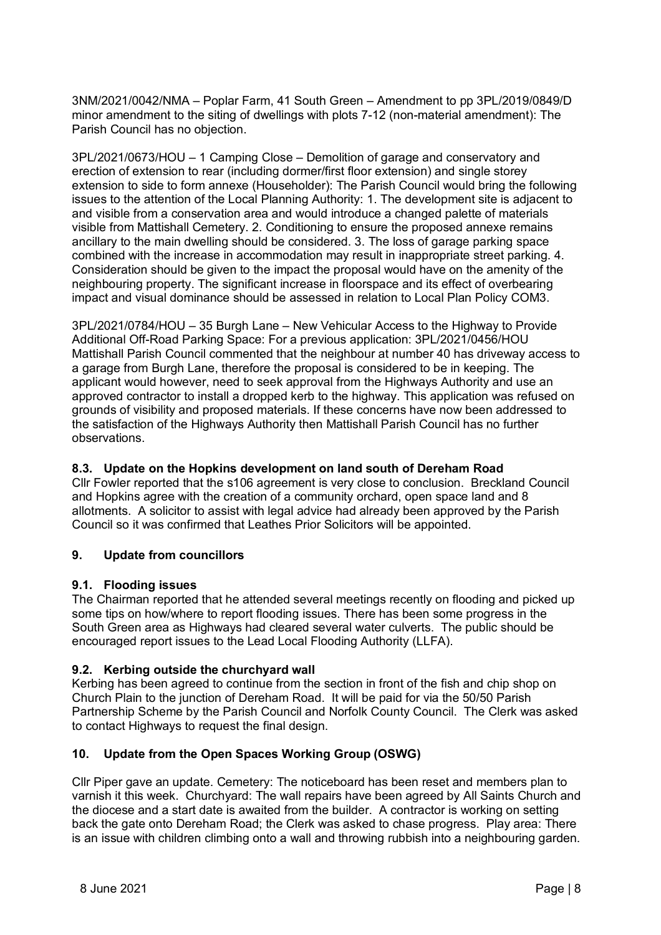3NM/2021/0042/NMA – Poplar Farm, 41 South Green – Amendment to pp 3PL/2019/0849/D minor amendment to the siting of dwellings with plots 7-12 (non-material amendment): The Parish Council has no objection.

3PL/2021/0673/HOU – 1 Camping Close – Demolition of garage and conservatory and erection of extension to rear (including dormer/first floor extension) and single storey extension to side to form annexe (Householder): The Parish Council would bring the following issues to the attention of the Local Planning Authority: 1. The development site is adjacent to and visible from a conservation area and would introduce a changed palette of materials visible from Mattishall Cemetery. 2. Conditioning to ensure the proposed annexe remains ancillary to the main dwelling should be considered. 3. The loss of garage parking space combined with the increase in accommodation may result in inappropriate street parking. 4. Consideration should be given to the impact the proposal would have on the amenity of the neighbouring property. The significant increase in floorspace and its effect of overbearing impact and visual dominance should be assessed in relation to Local Plan Policy COM3.

3PL/2021/0784/HOU – 35 Burgh Lane – New Vehicular Access to the Highway to Provide Additional Off-Road Parking Space: For a previous application: 3PL/2021/0456/HOU Mattishall Parish Council commented that the neighbour at number 40 has driveway access to a garage from Burgh Lane, therefore the proposal is considered to be in keeping. The applicant would however, need to seek approval from the Highways Authority and use an approved contractor to install a dropped kerb to the highway. This application was refused on grounds of visibility and proposed materials. If these concerns have now been addressed to the satisfaction of the Highways Authority then Mattishall Parish Council has no further observations.

## **8.3. Update on the Hopkins development on land south of Dereham Road**

Cllr Fowler reported that the s106 agreement is very close to conclusion. Breckland Council and Hopkins agree with the creation of a community orchard, open space land and 8 allotments. A solicitor to assist with legal advice had already been approved by the Parish Council so it was confirmed that Leathes Prior Solicitors will be appointed.

# **9. Update from councillors**

## **9.1. Flooding issues**

The Chairman reported that he attended several meetings recently on flooding and picked up some tips on how/where to report flooding issues. There has been some progress in the South Green area as Highways had cleared several water culverts. The public should be encouraged report issues to the Lead Local Flooding Authority (LLFA).

## **9.2. Kerbing outside the churchyard wall**

Kerbing has been agreed to continue from the section in front of the fish and chip shop on Church Plain to the junction of Dereham Road. It will be paid for via the 50/50 Parish Partnership Scheme by the Parish Council and Norfolk County Council. The Clerk was asked to contact Highways to request the final design.

## **10. Update from the Open Spaces Working Group (OSWG)**

Cllr Piper gave an update. Cemetery: The noticeboard has been reset and members plan to varnish it this week. Churchyard: The wall repairs have been agreed by All Saints Church and the diocese and a start date is awaited from the builder. A contractor is working on setting back the gate onto Dereham Road; the Clerk was asked to chase progress. Play area: There is an issue with children climbing onto a wall and throwing rubbish into a neighbouring garden.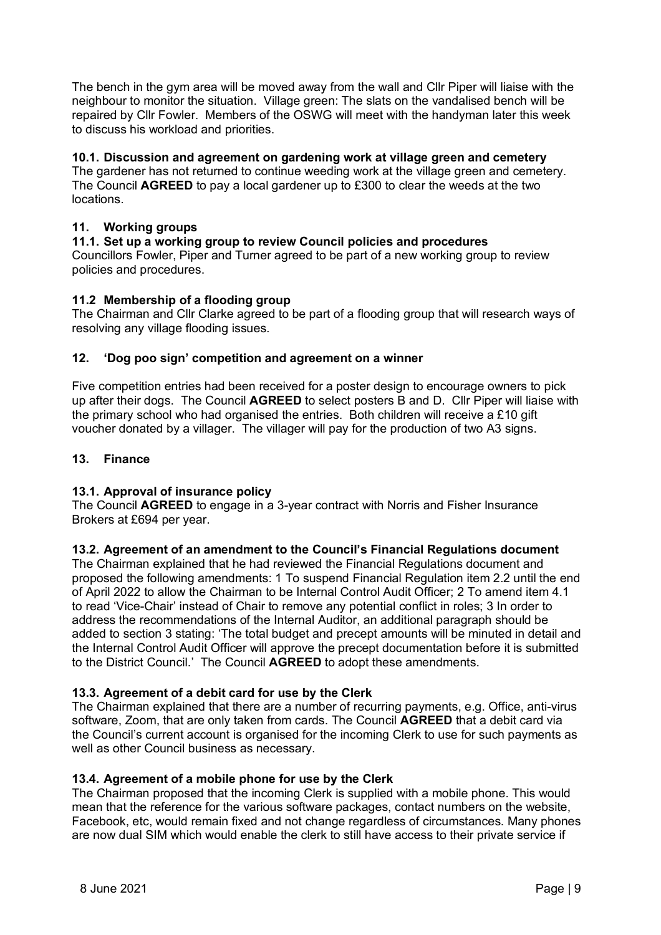The bench in the gym area will be moved away from the wall and Cllr Piper will liaise with the neighbour to monitor the situation. Village green: The slats on the vandalised bench will be repaired by Cllr Fowler. Members of the OSWG will meet with the handyman later this week to discuss his workload and priorities.

## **10.1. Discussion and agreement on gardening work at village green and cemetery**

The gardener has not returned to continue weeding work at the village green and cemetery. The Council **AGREED** to pay a local gardener up to £300 to clear the weeds at the two locations.

# **11. Working groups**

# **11.1. Set up a working group to review Council policies and procedures**

Councillors Fowler, Piper and Turner agreed to be part of a new working group to review policies and procedures.

# **11.2 Membership of a flooding group**

The Chairman and Cllr Clarke agreed to be part of a flooding group that will research ways of resolving any village flooding issues.

## **12. 'Dog poo sign' competition and agreement on a winner**

Five competition entries had been received for a poster design to encourage owners to pick up after their dogs. The Council **AGREED** to select posters B and D. Cllr Piper will liaise with the primary school who had organised the entries. Both children will receive a £10 gift voucher donated by a villager. The villager will pay for the production of two A3 signs.

## **13. Finance**

## **13.1. Approval of insurance policy**

The Council **AGREED** to engage in a 3-year contract with Norris and Fisher Insurance Brokers at £694 per year.

## **13.2. Agreement of an amendment to the Council's Financial Regulations document**

The Chairman explained that he had reviewed the Financial Regulations document and proposed the following amendments: 1 To suspend Financial Regulation item 2.2 until the end of April 2022 to allow the Chairman to be Internal Control Audit Officer; 2 To amend item 4.1 to read 'Vice-Chair' instead of Chair to remove any potential conflict in roles; 3 In order to address the recommendations of the Internal Auditor, an additional paragraph should be added to section 3 stating: 'The total budget and precept amounts will be minuted in detail and the Internal Control Audit Officer will approve the precept documentation before it is submitted to the District Council.' The Council **AGREED** to adopt these amendments.

## **13.3. Agreement of a debit card for use by the Clerk**

The Chairman explained that there are a number of recurring payments, e.g. Office, anti-virus software, Zoom, that are only taken from cards. The Council **AGREED** that a debit card via the Council's current account is organised for the incoming Clerk to use for such payments as well as other Council business as necessary.

## **13.4. Agreement of a mobile phone for use by the Clerk**

The Chairman proposed that the incoming Clerk is supplied with a mobile phone. This would mean that the reference for the various software packages, contact numbers on the website, Facebook, etc, would remain fixed and not change regardless of circumstances. Many phones are now dual SIM which would enable the clerk to still have access to their private service if